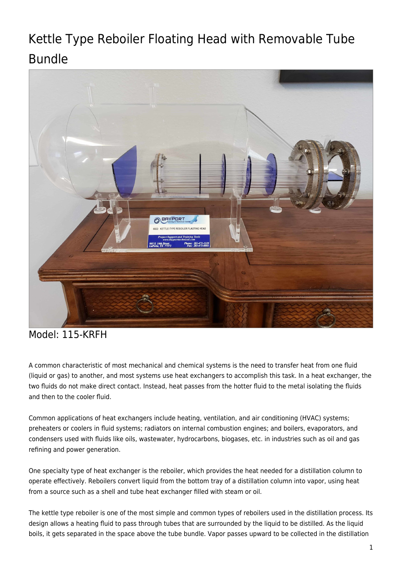# Kettle Type Reboiler Floating Head with Removable Tube Bundle



## Model: 115-KRFH

A common characteristic of most mechanical and chemical systems is the need to transfer heat from one fluid (liquid or gas) to another, and most systems use heat exchangers to accomplish this task. In a heat exchanger, the two fluids do not make direct contact. Instead, heat passes from the hotter fluid to the metal isolating the fluids and then to the cooler fluid.

Common applications of heat exchangers include heating, ventilation, and air conditioning (HVAC) systems; preheaters or coolers in fluid systems; radiators on internal combustion engines; and boilers, evaporators, and condensers used with fluids like oils, wastewater, hydrocarbons, biogases, etc. in industries such as oil and gas refining and power generation.

One specialty type of heat exchanger is the reboiler, which provides the heat needed for a distillation column to operate effectively. Reboilers convert liquid from the bottom tray of a distillation column into vapor, using heat from a source such as a shell and tube heat exchanger filled with steam or oil.

The kettle type reboiler is one of the most simple and common types of reboilers used in the distillation process. Its design allows a heating fluid to pass through tubes that are surrounded by the liquid to be distilled. As the liquid boils, it gets separated in the space above the tube bundle. Vapor passes upward to be collected in the distillation